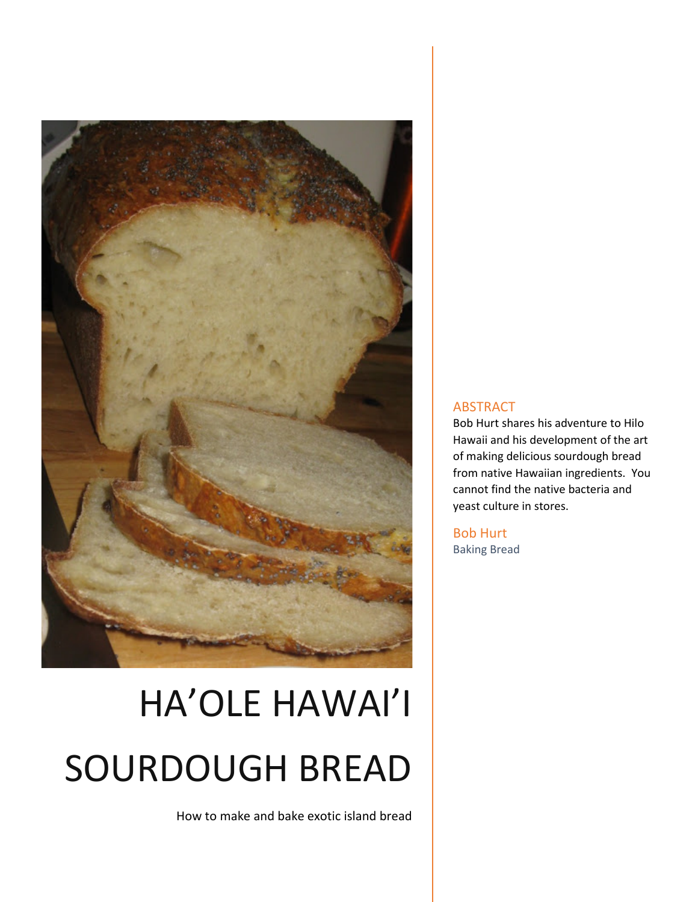

# HA'OLE HAWAI'I SOURDOUGH BREAD

How to make and bake exotic island bread

#### ABSTRACT

Bob Hurt shares his adventure to Hilo Hawaii and his development of the art of making delicious sourdough bread from native Hawaiian ingredients. You cannot find the native bacteria and yeast culture in stores.

Bob Hurt Baking Bread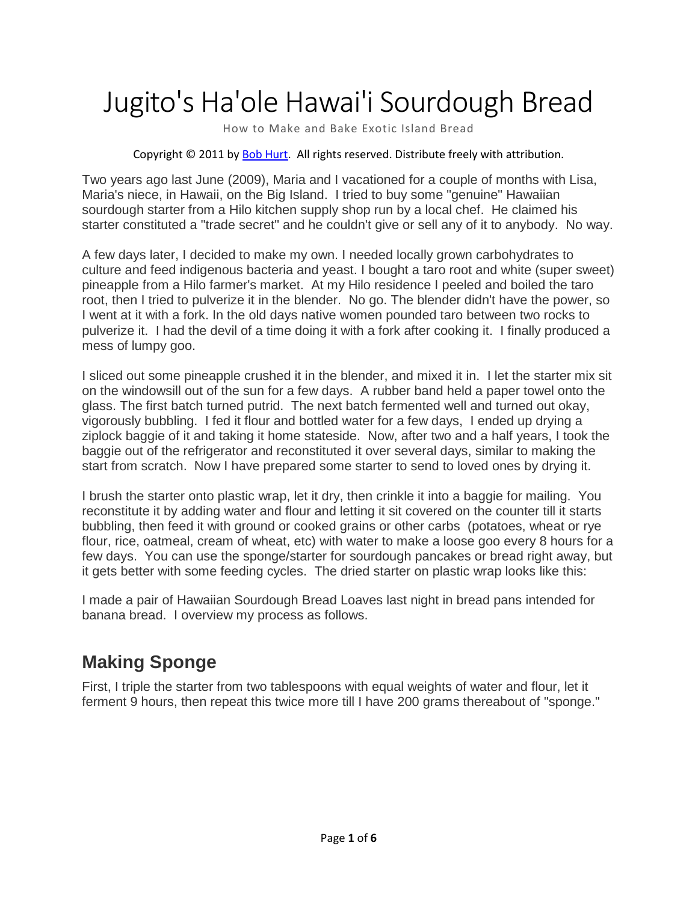# Jugito's Ha'ole Hawai'i Sourdough Bread

How to Make and Bake Exotic Island Bread

Copyright © 2011 b[y Bob Hurt.](http://bobhurt.com/) All rights reserved. Distribute freely with attribution.

Two years ago last June (2009), Maria and I vacationed for a couple of months with Lisa, Maria's niece, in Hawaii, on the Big Island. I tried to buy some "genuine" Hawaiian sourdough starter from a Hilo kitchen supply shop run by a local chef. He claimed his starter constituted a "trade secret" and he couldn't give or sell any of it to anybody. No way.

A few days later, I decided to make my own. I needed locally grown carbohydrates to culture and feed indigenous bacteria and yeast. I bought a taro root and white (super sweet) pineapple from a Hilo farmer's market. At my Hilo residence I peeled and boiled the taro root, then I tried to pulverize it in the blender. No go. The blender didn't have the power, so I went at it with a fork. In the old days native women pounded taro between two rocks to pulverize it. I had the devil of a time doing it with a fork after cooking it. I finally produced a mess of lumpy goo.

I sliced out some pineapple crushed it in the blender, and mixed it in. I let the starter mix sit on the windowsill out of the sun for a few days. A rubber band held a paper towel onto the glass. The first batch turned putrid. The next batch fermented well and turned out okay, vigorously bubbling. I fed it flour and bottled water for a few days, I ended up drying a ziplock baggie of it and taking it home stateside. Now, after two and a half years, I took the baggie out of the refrigerator and reconstituted it over several days, similar to making the start from scratch. Now I have prepared some starter to send to loved ones by drying it.

I brush the starter onto plastic wrap, let it dry, then crinkle it into a baggie for mailing. You reconstitute it by adding water and flour and letting it sit covered on the counter till it starts bubbling, then feed it with ground or cooked grains or other carbs (potatoes, wheat or rye flour, rice, oatmeal, cream of wheat, etc) with water to make a loose goo every 8 hours for a few days. You can use the sponge/starter for sourdough pancakes or bread right away, but it gets better with some feeding cycles. The dried starter on plastic wrap looks like this:

I made a pair of Hawaiian Sourdough Bread Loaves last night in bread pans intended for banana bread. I overview my process as follows.

### **Making Sponge**

First, I triple the starter from two tablespoons with equal weights of water and flour, let it ferment 9 hours, then repeat this twice more till I have 200 grams thereabout of "sponge."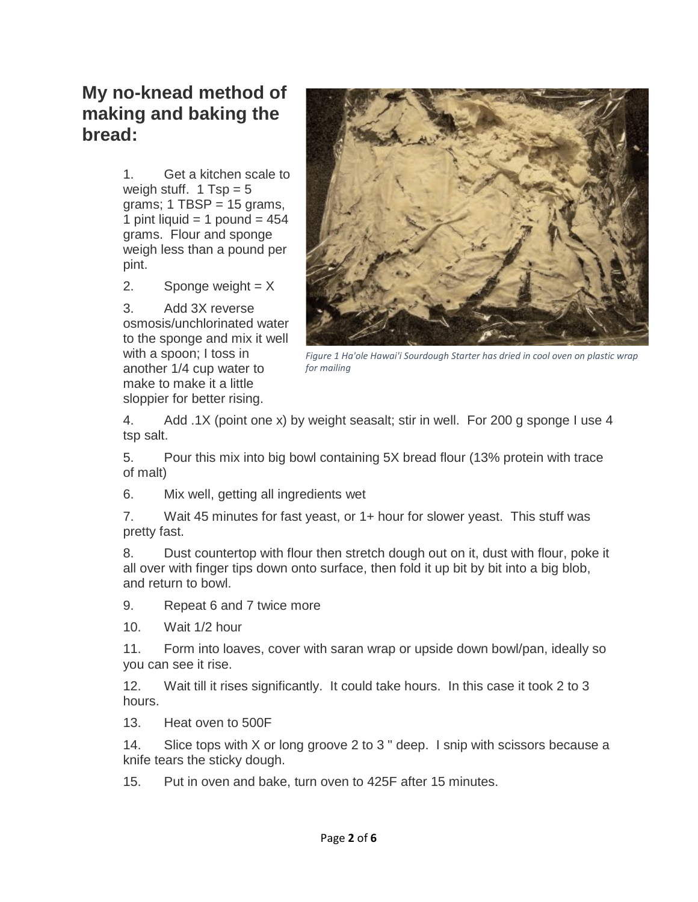#### **My no-knead method of making and baking the bread:**

1. Get a kitchen scale to weigh stuff.  $1$  Tsp = 5 grams;  $1$  TBSP = 15 grams, 1 pint liquid  $=$  1 pound  $=$  454 grams. Flour and sponge weigh less than a pound per pint.

2. Sponge weight  $= X$ 

3. Add 3X reverse osmosis/unchlorinated water to the sponge and mix it well with a spoon; I toss in another 1/4 cup water to make to make it a little sloppier for better rising.



*Figure 1 Ha'ole Hawai'i Sourdough Starter has dried in cool oven on plastic wrap for mailing*

4. Add .1X (point one x) by weight seasalt; stir in well. For 200 g sponge I use 4 tsp salt.

5. Pour this mix into big bowl containing 5X bread flour (13% protein with trace of malt)

6. Mix well, getting all ingredients wet

7. Wait 45 minutes for fast yeast, or 1+ hour for slower yeast. This stuff was pretty fast.

8. Dust countertop with flour then stretch dough out on it, dust with flour, poke it all over with finger tips down onto surface, then fold it up bit by bit into a big blob, and return to bowl.

9. Repeat 6 and 7 twice more

10. Wait 1/2 hour

11. Form into loaves, cover with saran wrap or upside down bowl/pan, ideally so you can see it rise.

12. Wait till it rises significantly. It could take hours. In this case it took 2 to 3 hours.

13. Heat oven to 500F

14. Slice tops with X or long groove 2 to 3 " deep. I snip with scissors because a knife tears the sticky dough.

15. Put in oven and bake, turn oven to 425F after 15 minutes.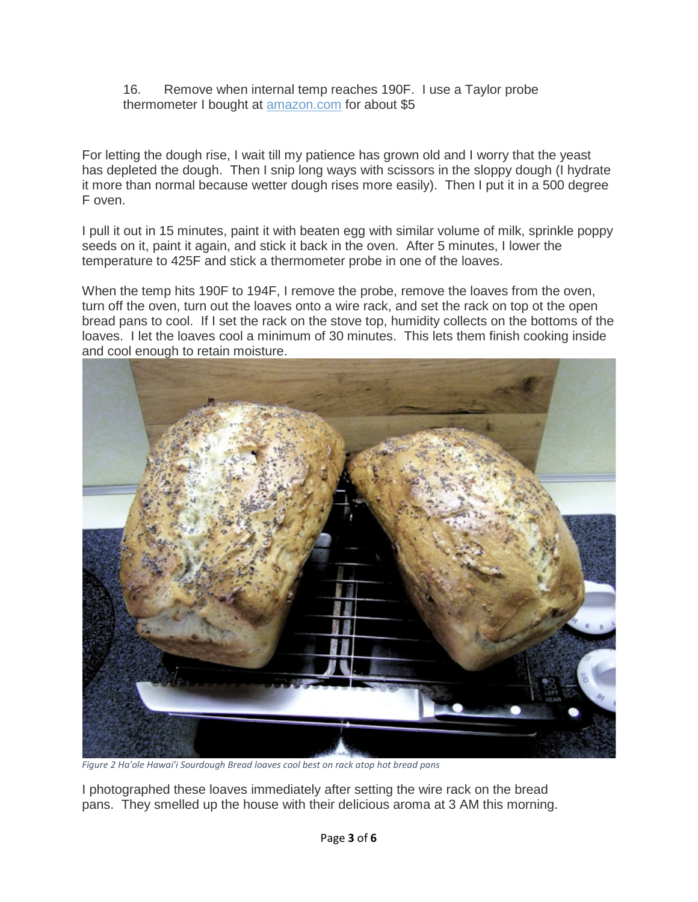16. Remove when internal temp reaches 190F. I use a Taylor probe thermometer I bought at [amazon.com](http://amazon.com/) for about \$5

For letting the dough rise, I wait till my patience has grown old and I worry that the yeast has depleted the dough. Then I snip long ways with scissors in the sloppy dough (I hydrate it more than normal because wetter dough rises more easily). Then I put it in a 500 degree F oven.

I pull it out in 15 minutes, paint it with beaten egg with similar volume of milk, sprinkle poppy seeds on it, paint it again, and stick it back in the oven. After 5 minutes, I lower the temperature to 425F and stick a thermometer probe in one of the loaves.

When the temp hits 190F to 194F, I remove the probe, remove the loaves from the oven, turn off the oven, turn out the loaves onto a wire rack, and set the rack on top ot the open bread pans to cool. If I set the rack on the stove top, humidity collects on the bottoms of the loaves. I let the loaves cool a minimum of 30 minutes. This lets them finish cooking inside and cool enough to retain moisture.



*Figure 2 Ha'ole Hawai'i Sourdough Bread loaves cool best on rack atop hot bread pans*

I photographed these loaves immediately after setting the wire rack on the bread pans. They smelled up the house with their delicious aroma at 3 AM this morning.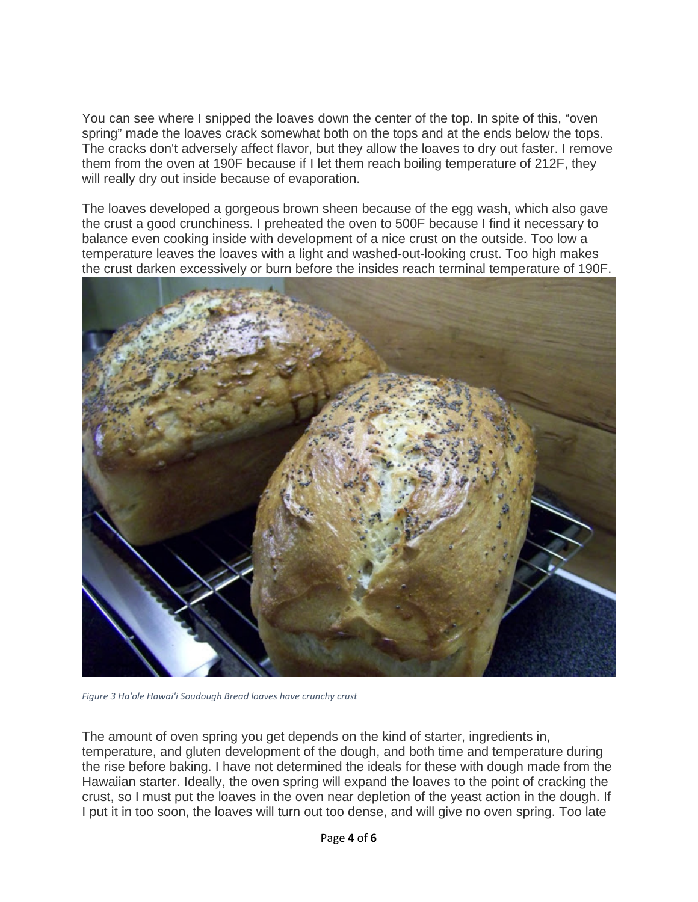You can see where I snipped the loaves down the center of the top. In spite of this, "oven spring" made the loaves crack somewhat both on the tops and at the ends below the tops. The cracks don't adversely affect flavor, but they allow the loaves to dry out faster. I remove them from the oven at 190F because if I let them reach boiling temperature of 212F, they will really dry out inside because of evaporation.

The loaves developed a gorgeous brown sheen because of the egg wash, which also gave the crust a good crunchiness. I preheated the oven to 500F because I find it necessary to balance even cooking inside with development of a nice crust on the outside. Too low a temperature leaves the loaves with a light and washed-out-looking crust. Too high makes the crust darken excessively or burn before the insides reach terminal temperature of 190F.



*Figure 3 Ha'ole Hawai'i Soudough Bread loaves have crunchy crust*

The amount of oven spring you get depends on the kind of starter, ingredients in, temperature, and gluten development of the dough, and both time and temperature during the rise before baking. I have not determined the ideals for these with dough made from the Hawaiian starter. Ideally, the oven spring will expand the loaves to the point of cracking the crust, so I must put the loaves in the oven near depletion of the yeast action in the dough. If I put it in too soon, the loaves will turn out too dense, and will give no oven spring. Too late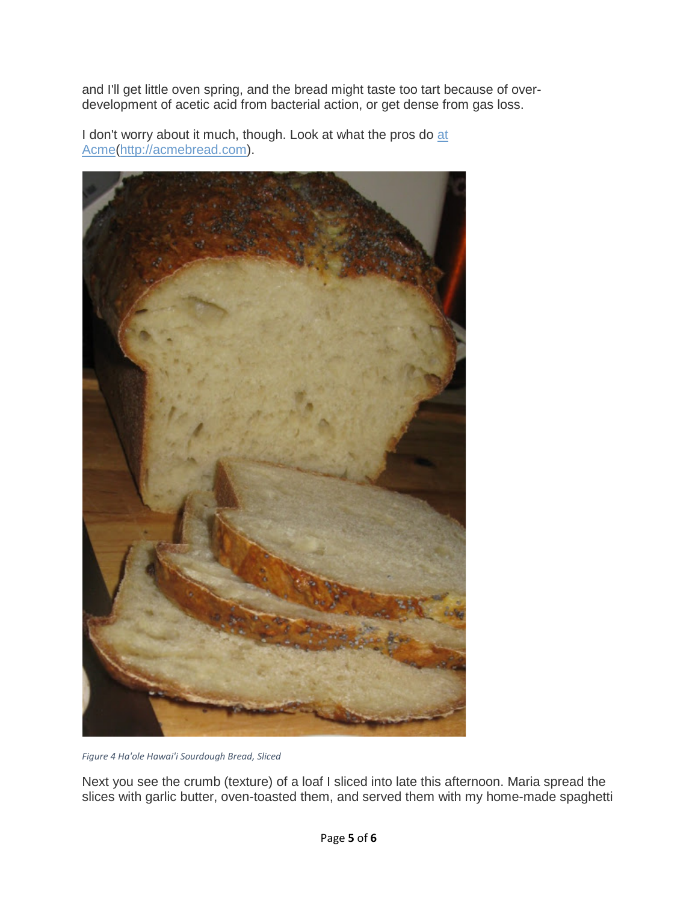and I'll get little oven spring, and the bread might taste too tart because of overdevelopment of acetic acid from bacterial action, or get dense from gas loss.

I don't worry about it much, though. Look [at](http://www.acmebread.com/bread) what the pros do at [Acme\(](http://www.acmebread.com/bread)[http://acmebread.com\)](http://acmebread.com/).



*Figure 4 Ha'ole Hawai'i Sourdough Bread, Sliced*

Next you see the crumb (texture) of a loaf I sliced into late this afternoon. Maria spread the slices with garlic butter, oven-toasted them, and served them with my home-made spaghetti